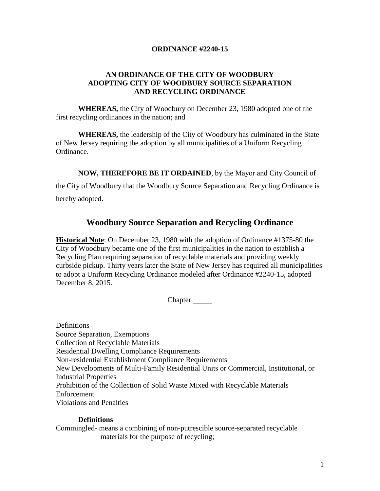### **ORDINANCE #2240-15**

## **AN ORDINANCE OF THE CITY OF WOODBURY ADOPTING CITY OF WOODBURY SOURCE SEPARATION AND RECYCLING ORDINANCE**

**WHEREAS,** the City of Woodbury on December 23, 1980 adopted one of the first recycling ordinances in the nation; and

**WHEREAS,** the leadership of the City of Woodbury has culminated in the State of New Jersey requiring the adoption by all municipalities of a Uniform Recycling Ordinance.

**NOW, THEREFORE BE IT ORDAINED**, by the Mayor and City Council of

the City of Woodbury that the Woodbury Source Separation and Recycling Ordinance is hereby adopted.

# **Woodbury Source Separation and Recycling Ordinance**

**Historical Note**: On December 23, 1980 with the adoption of Ordinance #1375-80 the City of Woodbury became one of the first municipalities in the nation to establish a Recycling Plan requiring separation of recyclable materials and providing weekly curbside pickup. Thirty years later the State of New Jersey has required all municipalities to adopt a Uniform Recycling Ordinance modeled after Ordinance #2240-15, adopted December 8, 2015.

**Chapter** 

Definitions Source Separation, Exemptions Collection of Recyclable Materials Residential Dwelling Compliance Requirements Non-residential Establishment Compliance Requirements New Developments of Multi-Family Residential Units or Commercial, Institutional, or Industrial Properties Prohibition of the Collection of Solid Waste Mixed with Recyclable Materials Enforcement Violations and Penalties

#### **Definitions**

Commingled- means a combining of non-putrescible source-separated recyclable materials for the purpose of recycling;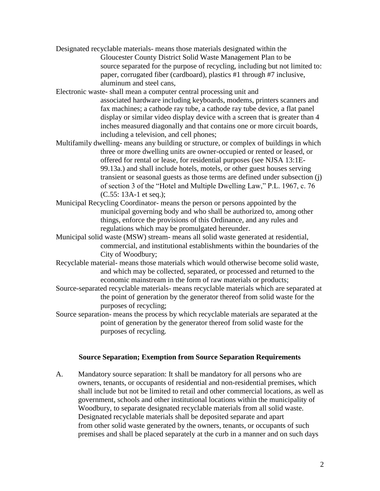- Designated recyclable materials- means those materials designated within the Gloucester County District Solid Waste Management Plan to be source separated for the purpose of recycling, including but not limited to: paper, corrugated fiber (cardboard), plastics #1 through #7 inclusive, aluminum and steel cans,
- Electronic waste- shall mean a computer central processing unit and associated hardware including keyboards, modems, printers scanners and fax machines; a cathode ray tube, a cathode ray tube device, a flat panel display or similar video display device with a screen that is greater than 4 inches measured diagonally and that contains one or more circuit boards, including a television, and cell phones;
- Multifamily dwelling- means any building or structure, or complex of buildings in which three or more dwelling units are owner-occupied or rented or leased, or offered for rental or lease, for residential purposes (see NJSA 13:1E-99.13a.) and shall include hotels, motels, or other guest houses serving transient or seasonal guests as those terms are defined under subsection (j) of section 3 of the "Hotel and Multiple Dwelling Law," P.L. 1967, c. 76 (C.55: 13A-1 et seq.);
- Municipal Recycling Coordinator- means the person or persons appointed by the municipal governing body and who shall be authorized to, among other things, enforce the provisions of this Ordinance, and any rules and regulations which may be promulgated hereunder.
- Municipal solid waste (MSW) stream- means all solid waste generated at residential, commercial, and institutional establishments within the boundaries of the City of Woodbury;
- Recyclable material- means those materials which would otherwise become solid waste, and which may be collected, separated, or processed and returned to the economic mainstream in the form of raw materials or products;
- Source-separated recyclable materials- means recyclable materials which are separated at the point of generation by the generator thereof from solid waste for the purposes of recycling;
- Source separation- means the process by which recyclable materials are separated at the point of generation by the generator thereof from solid waste for the purposes of recycling.

#### **Source Separation; Exemption from Source Separation Requirements**

A. Mandatory source separation: It shall be mandatory for all persons who are owners, tenants, or occupants of residential and non-residential premises, which shall include but not be limited to retail and other commercial locations, as well as government, schools and other institutional locations within the municipality of Woodbury, to separate designated recyclable materials from all solid waste. Designated recyclable materials shall be deposited separate and apart from other solid waste generated by the owners, tenants, or occupants of such premises and shall be placed separately at the curb in a manner and on such days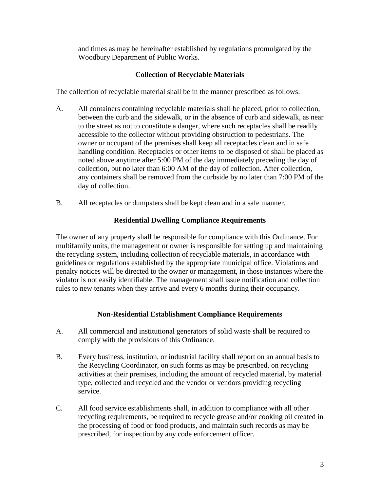and times as may be hereinafter established by regulations promulgated by the Woodbury Department of Public Works.

## **Collection of Recyclable Materials**

The collection of recyclable material shall be in the manner prescribed as follows:

- A. All containers containing recyclable materials shall be placed, prior to collection, between the curb and the sidewalk, or in the absence of curb and sidewalk, as near to the street as not to constitute a danger, where such receptacles shall be readily accessible to the collector without providing obstruction to pedestrians. The owner or occupant of the premises shall keep all receptacles clean and in safe handling condition. Receptacles or other items to be disposed of shall be placed as noted above anytime after 5:00 PM of the day immediately preceding the day of collection, but no later than 6:00 AM of the day of collection. After collection, any containers shall be removed from the curbside by no later than 7:00 PM of the day of collection.
- B. All receptacles or dumpsters shall be kept clean and in a safe manner.

#### **Residential Dwelling Compliance Requirements**

The owner of any property shall be responsible for compliance with this Ordinance. For multifamily units, the management or owner is responsible for setting up and maintaining the recycling system, including collection of recyclable materials, in accordance with guidelines or regulations established by the appropriate municipal office. Violations and penalty notices will be directed to the owner or management, in those instances where the violator is not easily identifiable. The management shall issue notification and collection rules to new tenants when they arrive and every 6 months during their occupancy.

## **Non-Residential Establishment Compliance Requirements**

- A. All commercial and institutional generators of solid waste shall be required to comply with the provisions of this Ordinance.
- B. Every business, institution, or industrial facility shall report on an annual basis to the Recycling Coordinator, on such forms as may be prescribed, on recycling activities at their premises, including the amount of recycled material, by material type, collected and recycled and the vendor or vendors providing recycling service.
- C. All food service establishments shall, in addition to compliance with all other recycling requirements, be required to recycle grease and/or cooking oil created in the processing of food or food products, and maintain such records as may be prescribed, for inspection by any code enforcement officer.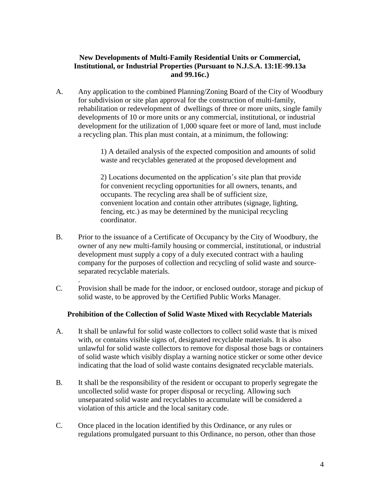## **New Developments of Multi-Family Residential Units or Commercial, Institutional, or Industrial Properties (Pursuant to N.J.S.A. 13:1E-99.13a and 99.16c.)**

A. Any application to the combined Planning/Zoning Board of the City of Woodbury for subdivision or site plan approval for the construction of multi-family, rehabilitation or redevelopment of dwellings of three or more units, single family developments of 10 or more units or any commercial, institutional, or industrial development for the utilization of 1,000 square feet or more of land, must include a recycling plan. This plan must contain, at a minimum, the following:

> 1) A detailed analysis of the expected composition and amounts of solid waste and recyclables generated at the proposed development and

2) Locations documented on the application's site plan that provide for convenient recycling opportunities for all owners, tenants, and occupants. The recycling area shall be of sufficient size, convenient location and contain other attributes (signage, lighting, fencing, etc.) as may be determined by the municipal recycling coordinator.

- B. Prior to the issuance of a Certificate of Occupancy by the City of Woodbury, the owner of any new multi-family housing or commercial, institutional, or industrial development must supply a copy of a duly executed contract with a hauling company for the purposes of collection and recycling of solid waste and sourceseparated recyclable materials.
- C. Provision shall be made for the indoor, or enclosed outdoor, storage and pickup of solid waste, to be approved by the Certified Public Works Manager.

.

## **Prohibition of the Collection of Solid Waste Mixed with Recyclable Materials**

- A. It shall be unlawful for solid waste collectors to collect solid waste that is mixed with, or contains visible signs of, designated recyclable materials. It is also unlawful for solid waste collectors to remove for disposal those bags or containers of solid waste which visibly display a warning notice sticker or some other device indicating that the load of solid waste contains designated recyclable materials.
- B. It shall be the responsibility of the resident or occupant to properly segregate the uncollected solid waste for proper disposal or recycling. Allowing such unseparated solid waste and recyclables to accumulate will be considered a violation of this article and the local sanitary code.
- C. Once placed in the location identified by this Ordinance, or any rules or regulations promulgated pursuant to this Ordinance, no person, other than those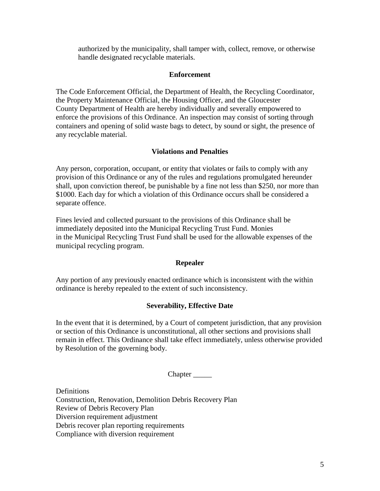authorized by the municipality, shall tamper with, collect, remove, or otherwise handle designated recyclable materials.

#### **Enforcement**

The Code Enforcement Official, the Department of Health, the Recycling Coordinator, the Property Maintenance Official, the Housing Officer, and the Gloucester County Department of Health are hereby individually and severally empowered to enforce the provisions of this Ordinance. An inspection may consist of sorting through containers and opening of solid waste bags to detect, by sound or sight, the presence of any recyclable material.

#### **Violations and Penalties**

Any person, corporation, occupant, or entity that violates or fails to comply with any provision of this Ordinance or any of the rules and regulations promulgated hereunder shall, upon conviction thereof, be punishable by a fine not less than \$250, nor more than \$1000. Each day for which a violation of this Ordinance occurs shall be considered a separate offence.

Fines levied and collected pursuant to the provisions of this Ordinance shall be immediately deposited into the Municipal Recycling Trust Fund. Monies in the Municipal Recycling Trust Fund shall be used for the allowable expenses of the municipal recycling program.

#### **Repealer**

Any portion of any previously enacted ordinance which is inconsistent with the within ordinance is hereby repealed to the extent of such inconsistency.

## **Severability, Effective Date**

In the event that it is determined, by a Court of competent jurisdiction, that any provision or section of this Ordinance is unconstitutional, all other sections and provisions shall remain in effect. This Ordinance shall take effect immediately, unless otherwise provided by Resolution of the governing body.

Chapter \_\_\_\_\_

Definitions Construction, Renovation, Demolition Debris Recovery Plan Review of Debris Recovery Plan Diversion requirement adjustment Debris recover plan reporting requirements Compliance with diversion requirement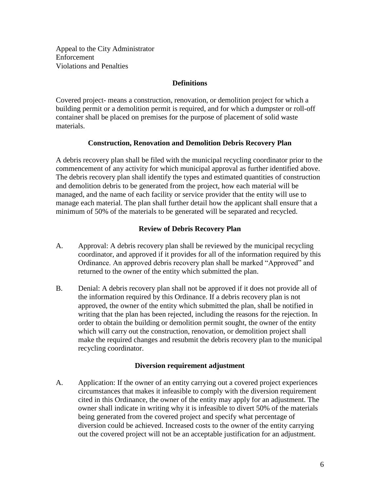Appeal to the City Administrator Enforcement Violations and Penalties

### **Definitions**

Covered project- means a construction, renovation, or demolition project for which a building permit or a demolition permit is required, and for which a dumpster or roll-off container shall be placed on premises for the purpose of placement of solid waste materials.

## **Construction, Renovation and Demolition Debris Recovery Plan**

A debris recovery plan shall be filed with the municipal recycling coordinator prior to the commencement of any activity for which municipal approval as further identified above. The debris recovery plan shall identify the types and estimated quantities of construction and demolition debris to be generated from the project, how each material will be managed, and the name of each facility or service provider that the entity will use to manage each material. The plan shall further detail how the applicant shall ensure that a minimum of 50% of the materials to be generated will be separated and recycled.

## **Review of Debris Recovery Plan**

- A. Approval: A debris recovery plan shall be reviewed by the municipal recycling coordinator, and approved if it provides for all of the information required by this Ordinance. An approved debris recovery plan shall be marked "Approved" and returned to the owner of the entity which submitted the plan.
- B. Denial: A debris recovery plan shall not be approved if it does not provide all of the information required by this Ordinance. If a debris recovery plan is not approved, the owner of the entity which submitted the plan, shall be notified in writing that the plan has been rejected, including the reasons for the rejection. In order to obtain the building or demolition permit sought, the owner of the entity which will carry out the construction, renovation, or demolition project shall make the required changes and resubmit the debris recovery plan to the municipal recycling coordinator.

#### **Diversion requirement adjustment**

A. Application: If the owner of an entity carrying out a covered project experiences circumstances that makes it infeasible to comply with the diversion requirement cited in this Ordinance, the owner of the entity may apply for an adjustment. The owner shall indicate in writing why it is infeasible to divert 50% of the materials being generated from the covered project and specify what percentage of diversion could be achieved. Increased costs to the owner of the entity carrying out the covered project will not be an acceptable justification for an adjustment.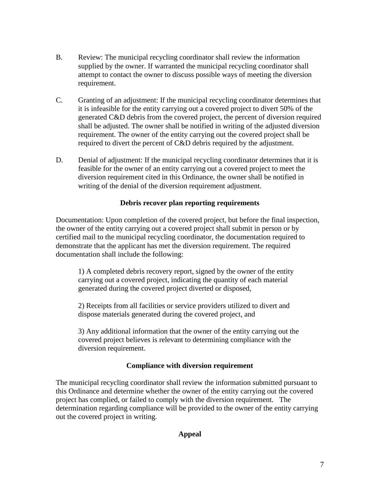- B. Review: The municipal recycling coordinator shall review the information supplied by the owner. If warranted the municipal recycling coordinator shall attempt to contact the owner to discuss possible ways of meeting the diversion requirement.
- C. Granting of an adjustment: If the municipal recycling coordinator determines that it is infeasible for the entity carrying out a covered project to divert 50% of the generated C&D debris from the covered project, the percent of diversion required shall be adjusted. The owner shall be notified in writing of the adjusted diversion requirement. The owner of the entity carrying out the covered project shall be required to divert the percent of C&D debris required by the adjustment.
- D. Denial of adjustment: If the municipal recycling coordinator determines that it is feasible for the owner of an entity carrying out a covered project to meet the diversion requirement cited in this Ordinance, the owner shall be notified in writing of the denial of the diversion requirement adjustment.

#### **Debris recover plan reporting requirements**

Documentation: Upon completion of the covered project, but before the final inspection, the owner of the entity carrying out a covered project shall submit in person or by certified mail to the municipal recycling coordinator, the documentation required to demonstrate that the applicant has met the diversion requirement. The required documentation shall include the following:

1) A completed debris recovery report, signed by the owner of the entity carrying out a covered project, indicating the quantity of each material generated during the covered project diverted or disposed,

2) Receipts from all facilities or service providers utilized to divert and dispose materials generated during the covered project, and

3) Any additional information that the owner of the entity carrying out the covered project believes is relevant to determining compliance with the diversion requirement.

#### **Compliance with diversion requirement**

The municipal recycling coordinator shall review the information submitted pursuant to this Ordinance and determine whether the owner of the entity carrying out the covered project has complied, or failed to comply with the diversion requirement. The determination regarding compliance will be provided to the owner of the entity carrying out the covered project in writing.

## **Appeal**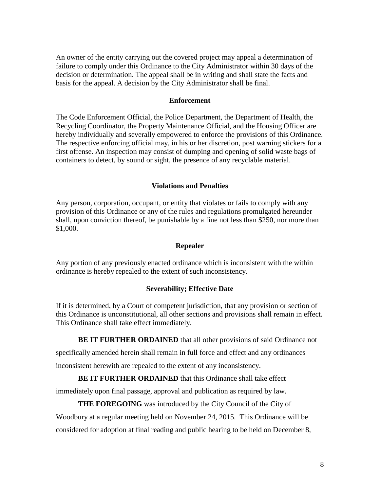An owner of the entity carrying out the covered project may appeal a determination of failure to comply under this Ordinance to the City Administrator within 30 days of the decision or determination. The appeal shall be in writing and shall state the facts and basis for the appeal. A decision by the City Administrator shall be final.

#### **Enforcement**

The Code Enforcement Official, the Police Department, the Department of Health, the Recycling Coordinator, the Property Maintenance Official, and the Housing Officer are hereby individually and severally empowered to enforce the provisions of this Ordinance. The respective enforcing official may, in his or her discretion, post warning stickers for a first offense. An inspection may consist of dumping and opening of solid waste bags of containers to detect, by sound or sight, the presence of any recyclable material.

### **Violations and Penalties**

Any person, corporation, occupant, or entity that violates or fails to comply with any provision of this Ordinance or any of the rules and regulations promulgated hereunder shall, upon conviction thereof, be punishable by a fine not less than \$250, nor more than \$1,000.

#### **Repealer**

Any portion of any previously enacted ordinance which is inconsistent with the within ordinance is hereby repealed to the extent of such inconsistency.

#### **Severability; Effective Date**

If it is determined, by a Court of competent jurisdiction, that any provision or section of this Ordinance is unconstitutional, all other sections and provisions shall remain in effect. This Ordinance shall take effect immediately.

**BE IT FURTHER ORDAINED** that all other provisions of said Ordinance not

specifically amended herein shall remain in full force and effect and any ordinances inconsistent herewith are repealed to the extent of any inconsistency.

#### **BE IT FURTHER ORDAINED** that this Ordinance shall take effect

immediately upon final passage, approval and publication as required by law.

#### **THE FOREGOING** was introduced by the City Council of the City of

Woodbury at a regular meeting held on November 24, 2015. This Ordinance will be

considered for adoption at final reading and public hearing to be held on December 8,